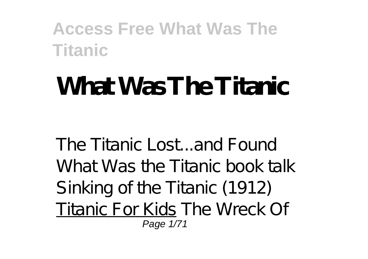# **What Was The Titanic**

The Titanic Lost...and Found What Was the Titanic book talk Sinking of the Titanic (1912) Titanic For Kids The Wreck Of Page 1/71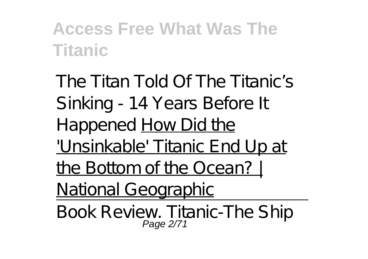The Titan Told Of The Titanic's Sinking - 14 Years Before It Happened **How Did the** 'Unsinkable' Titanic End Up at the Bottom of the Ocean? | National Geographic

Book Review. Titanic-The Ship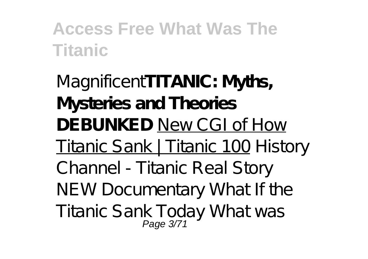Magnificent**TITANIC: Myths, Mysteries and Theories DEBUNKED** New CGI of How Titanic Sank | Titanic 100 *History Channel - Titanic Real Story NEW Documentary What If the Titanic Sank Today* What was Page 3/71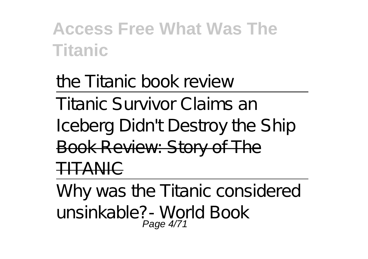the Titanic book review Titanic Survivor Claims an Iceberg Didn't Destroy the Ship Book Review: Story of The TA NIC

Why was the Titanic considered unsinkable?- World Book Page 4/71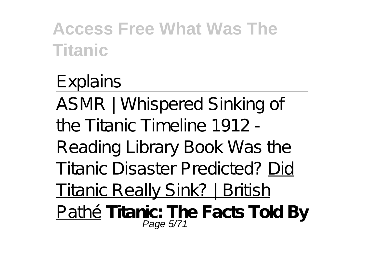# Explains

ASMR | Whispered Sinking of the Titanic Timeline 1912 -

Reading Library Book Was the Titanic Disaster Predicted? Did

Titanic Really Sink? | British

<u>Pathé</u> Titanic: The Facts Told By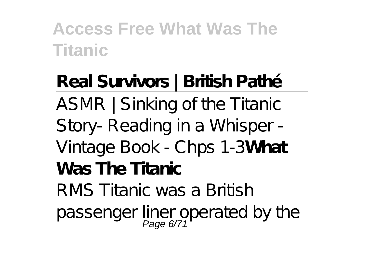**Real Survivors | British Pathé** ASMR | Sinking of the Titanic Story- Reading in a Whisper - Vintage Book - Chps 1-3**What Was The Titanic** RMS Titanic was a British passenger liner operated by the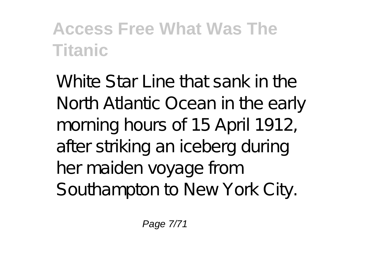White Star Line that sank in the North Atlantic Ocean in the early morning hours of 15 April 1912, after striking an iceberg during her maiden voyage from Southampton to New York City.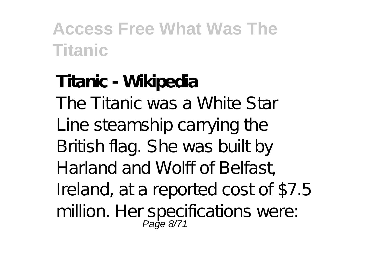# **Titanic - Wikipedia** The Titanic was a White Star Line steamship carrying the British flag. She was built by Harland and Wolff of Belfast, Ireland, at a reported cost of \$7.5 million. Her specifications were: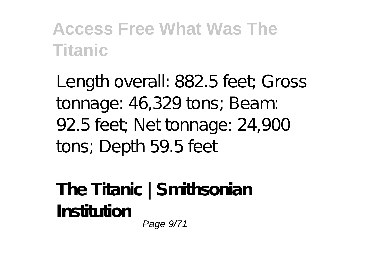Length overall: 882.5 feet; Gross tonnage: 46,329 tons; Beam: 92.5 feet; Net tonnage: 24,900 tons; Depth 59.5 feet

**The Titanic | Smithsonian Institution** Page 9/71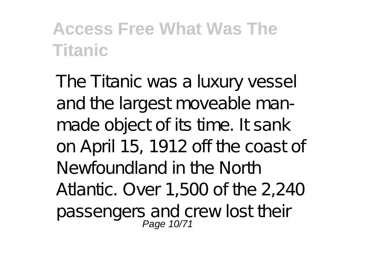The Titanic was a luxury vessel and the largest moveable manmade object of its time. It sank on April 15, 1912 off the coast of Newfoundland in the North Atlantic. Over 1,500 of the 2,240 passengers and crew lost their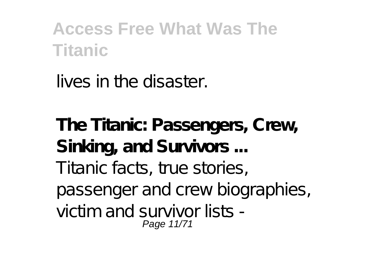lives in the disaster.

**The Titanic: Passengers, Crew, Sinking, and Survivors ...** Titanic facts, true stories, passenger and crew biographies, victim and survivor lists - Page 11/71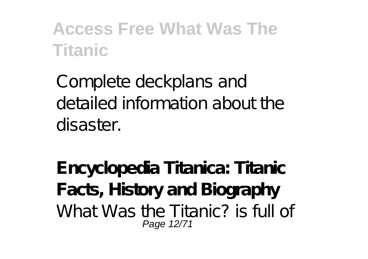Complete deckplans and detailed information about the disaster.

**Encyclopedia Titanica: Titanic Facts, History and Biography** What Was the Titanic? is full of Page 12/71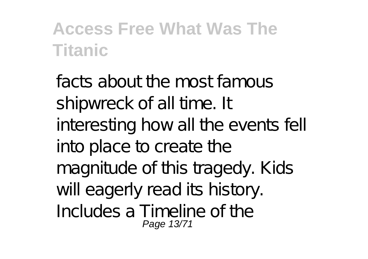facts about the most famous shipwreck of all time. It interesting how all the events fell into place to create the magnitude of this tragedy. Kids will eagerly read its history. Includes a Timeline of the Page 13/71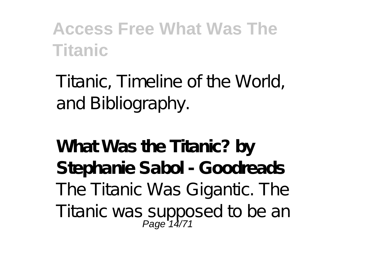Titanic, Timeline of the World, and Bibliography.

**What Was the Titanic? by Stephanie Sabol - Goodreads** The Titanic Was Gigantic. The Titanic was supposed to be an Page 14/71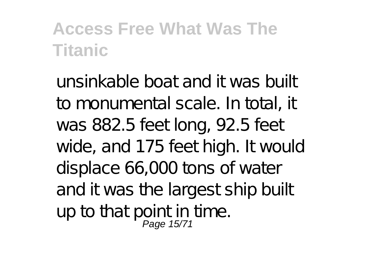unsinkable boat and it was built to monumental scale. In total, it was 882.5 feet long, 92.5 feet wide, and 175 feet high. It would displace 66,000 tons of water and it was the largest ship built up to that point in time.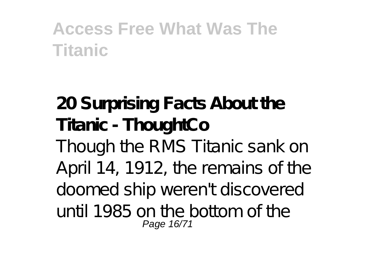#### **20 Surprising Facts About the Titanic - ThoughtCo** Though the RMS Titanic sank on April 14, 1912, the remains of the doomed ship weren't discovered until 1985 on the bottom of the Page 16/71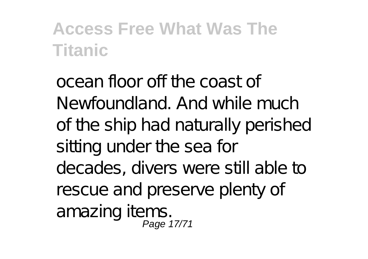ocean floor off the coast of Newfoundland. And while much of the ship had naturally perished sitting under the sea for decades, divers were still able to rescue and preserve plenty of amazing items. Page 17/71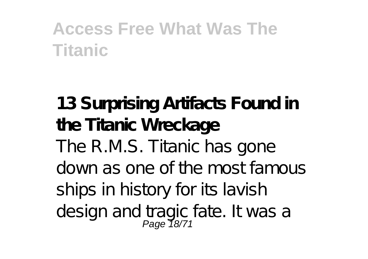**13 Surprising Artifacts Found in the Titanic Wreckage** The R.M.S. Titanic has gone down as one of the most famous ships in history for its lavish design and tragic fate. It was a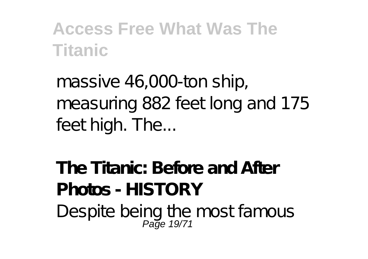massive 46,000-ton ship, measuring 882 feet long and 175 feet high. The...

**The Titanic: Before and After Photos - HISTORY** Despite being the most famous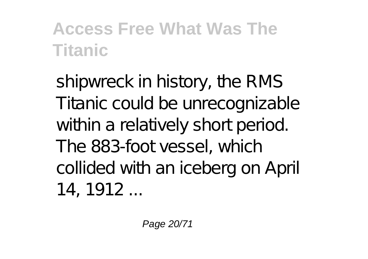shipwreck in history, the RMS Titanic could be unrecognizable within a relatively short period. The 883-foot vessel, which collided with an iceberg on April 14, 1912 ...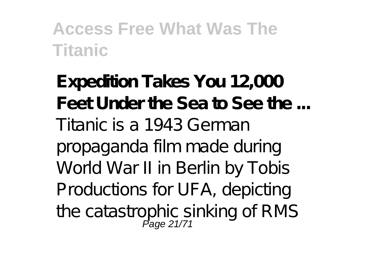**Expedition Takes You 12,000 Feet Under the Sea to See the ...** Titanic is a 1943 German propaganda film made during World War II in Berlin by Tobis Productions for UFA, depicting the catastrophic sinking of RMS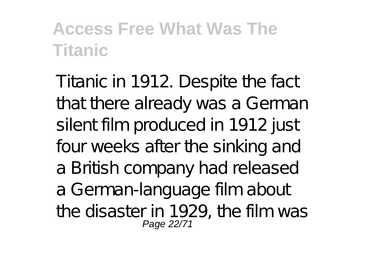Titanic in 1912. Despite the fact that there already was a German silent film produced in 1912 just four weeks after the sinking and a British company had released a German-language film about the disaster in 1929, the film was Page 22/71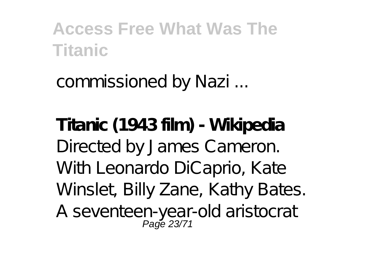commissioned by Nazi ...

**Titanic (1943 film) - Wikipedia** Directed by James Cameron. With Leonardo DiCaprio, Kate Winslet, Billy Zane, Kathy Bates. A seventeen-year-old aristocrat<br>Page 23/71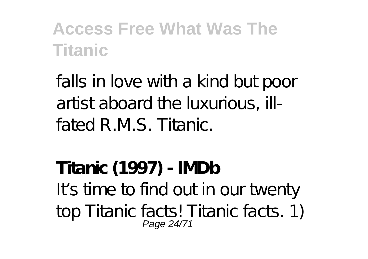falls in love with a kind but poor artist aboard the luxurious, illfated R.M.S. Titanic.

**Titanic (1997) - IMDb** It's time to find out in our twenty top Titanic facts! Titanic facts. 1) Page 24/71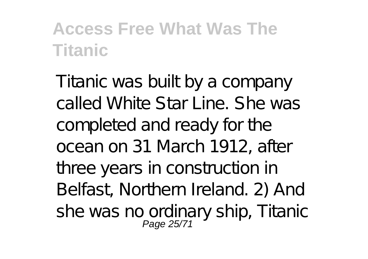Titanic was built by a company called White Star Line. She was completed and ready for the ocean on 31 March 1912, after three years in construction in Belfast, Northern Ireland. 2) And she was no ordinary ship, Titanic<br>Page 25/71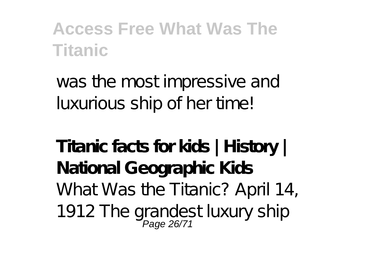was the most impressive and luxurious ship of her time!

**Titanic facts for kids | History | National Geographic Kids** What Was the Titanic? April 14, 1912 The grandest luxury ship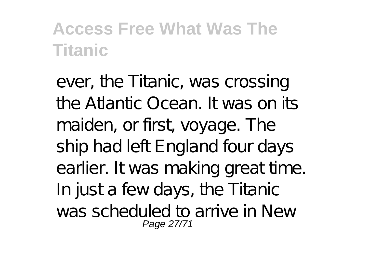ever, the Titanic, was crossing the Atlantic Ocean. It was on its maiden, or first, voyage. The ship had left England four days earlier. It was making great time. In just a few days, the Titanic was scheduled to arrive in New Page 27/71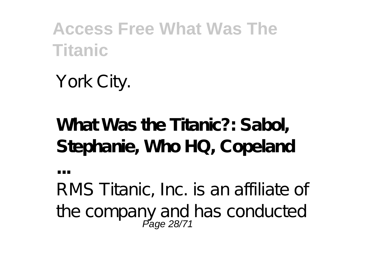York City.

**...**

# **What Was the Titanic?: Sabol, Stephanie, Who HQ, Copeland**

RMS Titanic, Inc. is an affiliate of the company and has conducted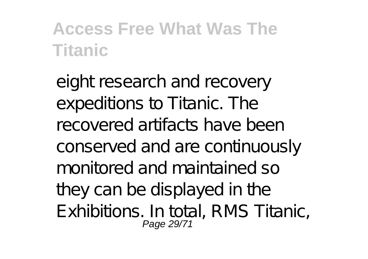eight research and recovery expeditions to Titanic. The recovered artifacts have been conserved and are continuously monitored and maintained so they can be displayed in the Exhibitions. In total, RMS Titanic, Page 29/71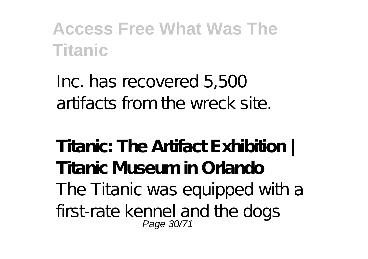Inc. has recovered 5,500 artifacts from the wreck site.

**Titanic: The Artifact Exhibition | Titanic Museum in Orlando** The Titanic was equipped with a first-rate kennel and the dogs Page 30/71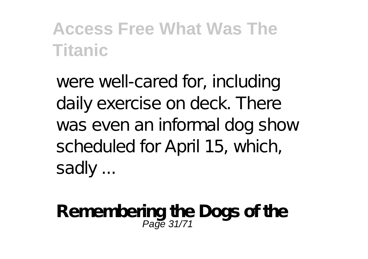were well-cared for, including daily exercise on deck. There was even an informal dog show scheduled for April 15, which, sadly ...

**Remembering the Dogs of the** Page 31/71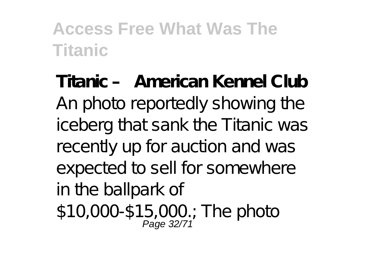**Titanic – American Kennel Club** An photo reportedly showing the iceberg that sank the Titanic was recently up for auction and was expected to sell for somewhere in the ballpark of \$10,000-\$15,000.; The photo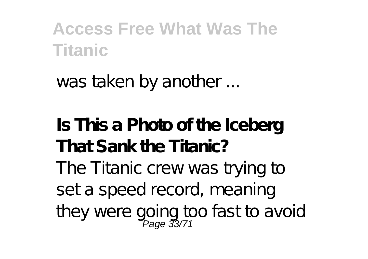was taken by another ...

**Is This a Photo of the Iceberg That Sank the Titanic?** The Titanic crew was trying to set a speed record, meaning they were going too fast to avoid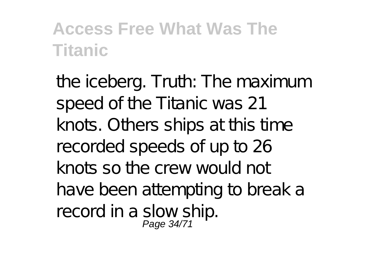the iceberg. Truth: The maximum speed of the Titanic was 21 knots. Others ships at this time recorded speeds of up to 26 knots so the crew would not have been attempting to break a record in a slow ship.<br>Page 34/71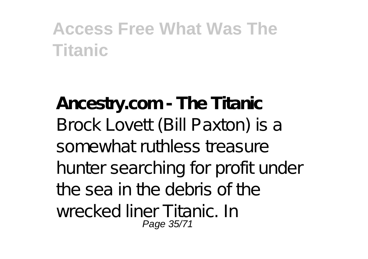**Ancestry.com - The Titanic** Brock Lovett (Bill Paxton) is a somewhat ruthless treasure hunter searching for profit under the sea in the debris of the wrecked liner Titanic. In Page 35/71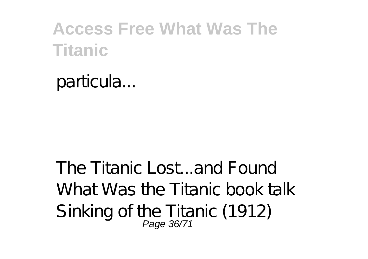particula...

The Titanic Lost...and Found What Was the Titanic book talk Sinking of the Titanic (1912)<br>Page 36/71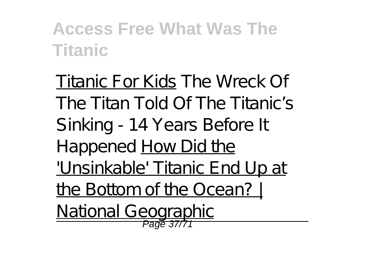Titanic For Kids The Wreck Of The Titan Told Of The Titanic's Sinking - 14 Years Before It Happened How Did the 'Unsinkable' Titanic End Up at the Bottom of the Ocean? | National Geographic Page 37/7<sup>1</sup>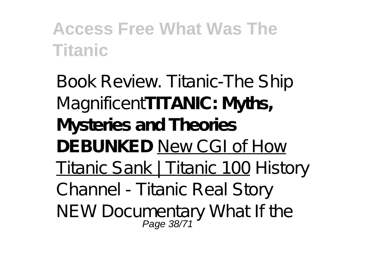Book Review. Titanic-The Ship Magnificent**TITANIC: Myths, Mysteries and Theories DEBUNKED** New CGI of How Titanic Sank | Titanic 100 *History Channel - Titanic Real Story NEW Documentary What If the* Page 38/71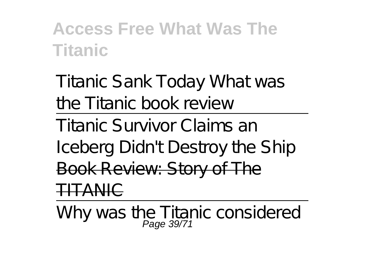*Titanic Sank Today* What was the Titanic book review

Titanic Survivor Claims an

Iceberg Didn't Destroy the Ship Book Review: Story of The TITANIC

Why was the Titanic considered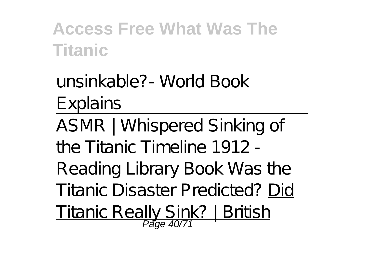unsinkable?- World Book Explains

ASMR | Whispered Sinking of the Titanic Timeline 1912 - Reading Library Book Was the Titanic Disaster Predicted? Did Titanic Really Sink? | British Page 40/71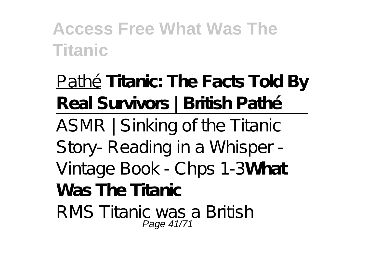Pathé**Titanic: The Facts Told By Real Survivors | British Pathé** ASMR | Sinking of the Titanic Story- Reading in a Whisper - Vintage Book - Chps 1-3**What Was The Titanic** RMS Titanic was a British Page 41/71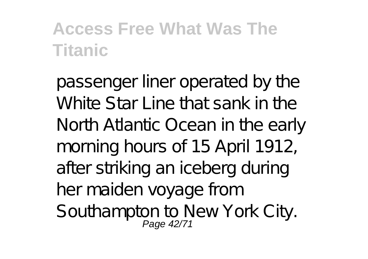passenger liner operated by the White Star Line that sank in the North Atlantic Ocean in the early morning hours of 15 April 1912, after striking an iceberg during her maiden voyage from Southampton to New York City.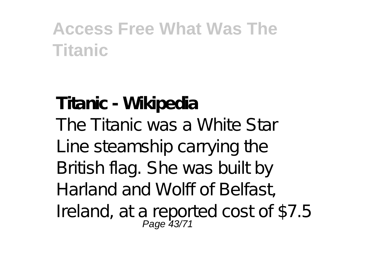# **Titanic - Wikipedia** The Titanic was a White Star Line steamship carrying the British flag. She was built by Harland and Wolff of Belfast, Ireland, at a reported cost of \$7.5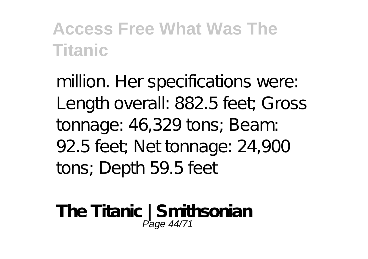million. Her specifications were: Length overall: 882.5 feet; Gross tonnage: 46,329 tons; Beam: 92.5 feet; Net tonnage: 24,900 tons; Depth 59.5 feet

**The Titanic | Smithsonian** Page 44/71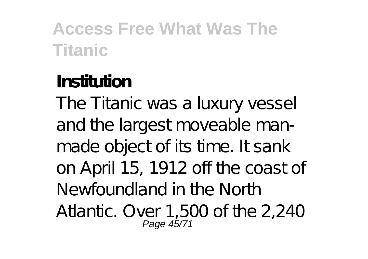#### **Institution** The Titanic was a luxury vessel and the largest moveable manmade object of its time. It sank on April 15, 1912 off the coast of Newfoundland in the North Atlantic. Over 1,500 of the 2,240 Page 45/71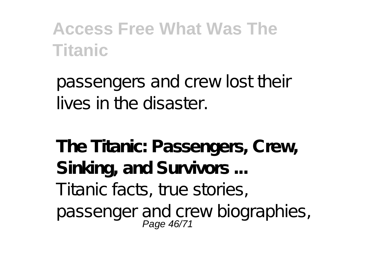passengers and crew lost their lives in the disaster.

**The Titanic: Passengers, Crew, Sinking, and Survivors ...** Titanic facts, true stories, passenger and crew biographies,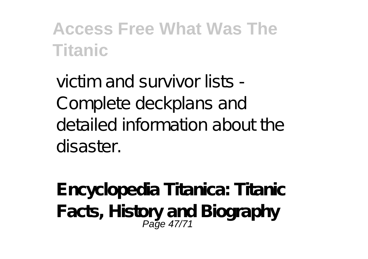victim and survivor lists - Complete deckplans and detailed information about the disaster.

**Encyclopedia Titanica: Titanic Facts, History and Biography** Page 47/71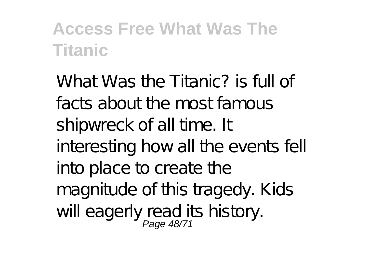What Was the Titanic? is full of facts about the most famous shipwreck of all time. It interesting how all the events fell into place to create the magnitude of this tragedy. Kids will eagerly read its history.<br>Page 48/71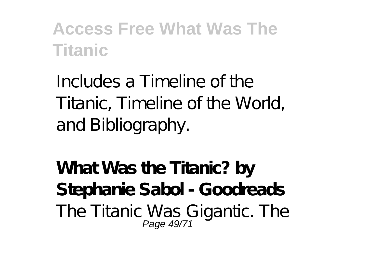Includes a Timeline of the Titanic, Timeline of the World, and Bibliography.

**What Was the Titanic? by Stephanie Sabol - Goodreads** The Titanic Was Gigantic. The<br>Page 49/71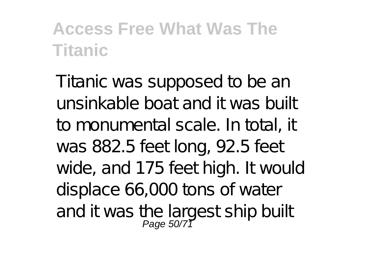Titanic was supposed to be an unsinkable boat and it was built to monumental scale. In total, it was 882.5 feet long, 92.5 feet wide, and 175 feet high. It would displace 66,000 tons of water and it was the largest ship built<br>Page 50/71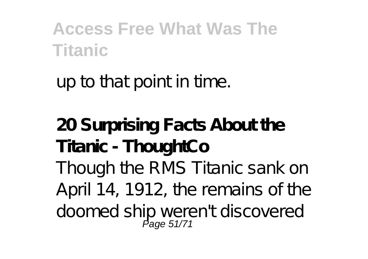up to that point in time.

**20 Surprising Facts About the Titanic - ThoughtCo** Though the RMS Titanic sank on April 14, 1912, the remains of the doomed ship weren't discovered Page 51/71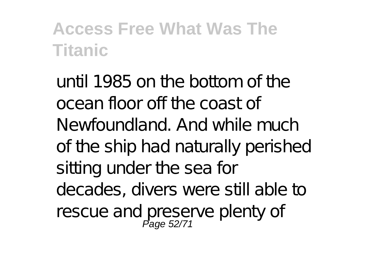until 1985 on the bottom of the ocean floor off the coast of Newfoundland. And while much of the ship had naturally perished sitting under the sea for decades, divers were still able to rescue and preserve plenty of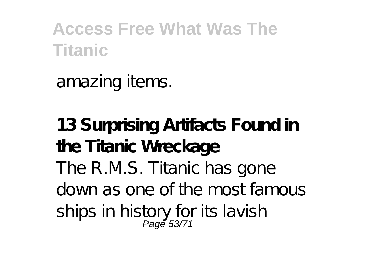amazing items.

**13 Surprising Artifacts Found in the Titanic Wreckage** The R.M.S. Titanic has gone down as one of the most famous ships in history for its lavish<br>Page 53/71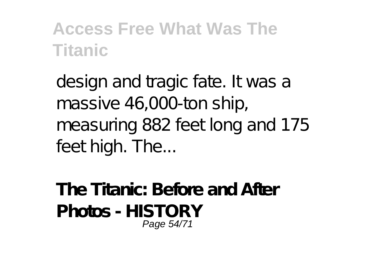design and tragic fate. It was a massive 46,000-ton ship, measuring 882 feet long and 175 feet high. The...

**The Titanic: Before and After Photos - HISTORY** Page 54/71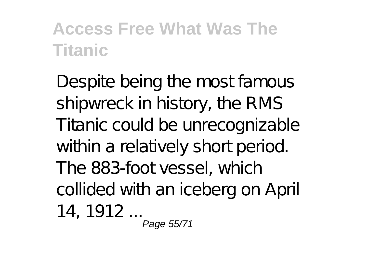Despite being the most famous shipwreck in history, the RMS Titanic could be unrecognizable within a relatively short period. The 883-foot vessel, which collided with an iceberg on April 14, 1912 ... Page 55/71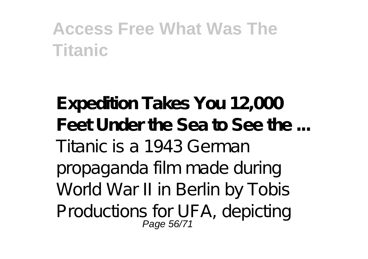**Expedition Takes You 12,000 Feet Under the Sea to See the ...** Titanic is a 1943 German propaganda film made during World War II in Berlin by Tobis Productions for UFA, depicting Page 56/71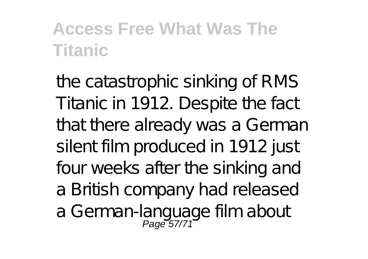the catastrophic sinking of RMS Titanic in 1912. Despite the fact that there already was a German silent film produced in 1912 just four weeks after the sinking and a British company had released a German-language film about<br>Page 57/71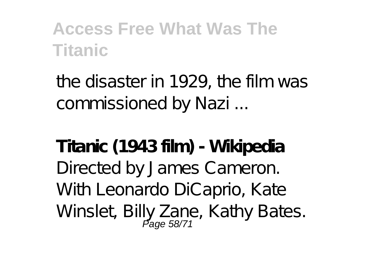the disaster in 1929, the film was commissioned by Nazi ...

**Titanic (1943 film) - Wikipedia** Directed by James Cameron. With Leonardo DiCaprio, Kate Winslet, Billy Zane, Kathy Bates.<br>Page 58/71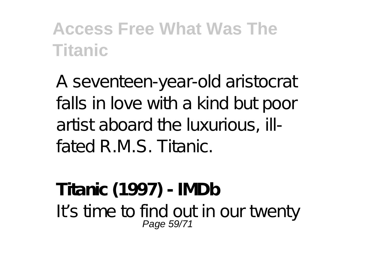A seventeen-year-old aristocrat falls in love with a kind but poor artist aboard the luxurious, illfated R.M.S. Titanic.

**Titanic (1997) - IMDb** It's time to find out in our twenty Page 59/71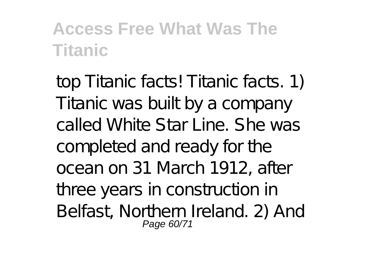top Titanic facts! Titanic facts. 1) Titanic was built by a company called White Star Line. She was completed and ready for the ocean on 31 March 1912, after three years in construction in Belfast, Northern Ireland. 2) And Page 60/71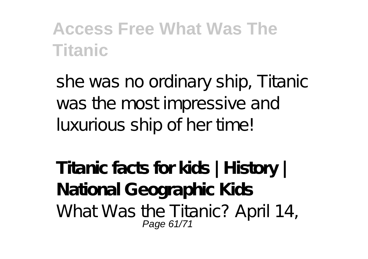she was no ordinary ship, Titanic was the most impressive and luxurious ship of her time!

**Titanic facts for kids | History | National Geographic Kids** What Was the Titanic? April 14, Page 61/71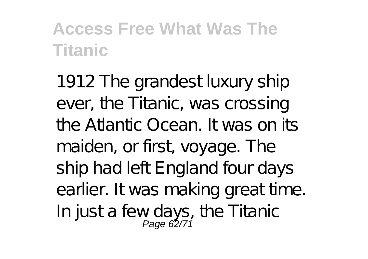1912 The grandest luxury ship ever, the Titanic, was crossing the Atlantic Ocean. It was on its maiden, or first, voyage. The ship had left England four days earlier. It was making great time. In justa fewdays, the Titanic<br>Page 62/71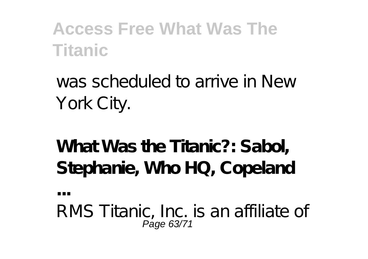was scheduled to arrive in New York City.

**What Was the Titanic?: Sabol, Stephanie, Who HQ, Copeland**

**...**

RMS Titanic, Inc. is an affiliate of Page 63/71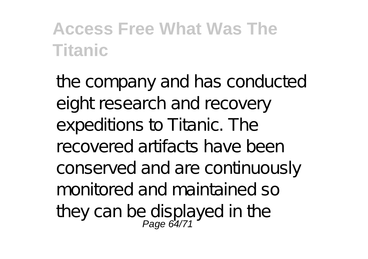the company and has conducted eight research and recovery expeditions to Titanic. The recovered artifacts have been conserved and are continuously monitored and maintained so they can be displayed in the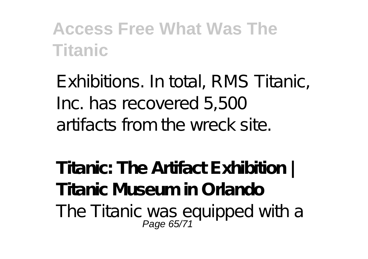Exhibitions. In total, RMS Titanic, Inc. has recovered 5,500 artifacts from the wreck site.

**Titanic: The Artifact Exhibition | Titanic Museum in Orlando** The Titanic was equipped with a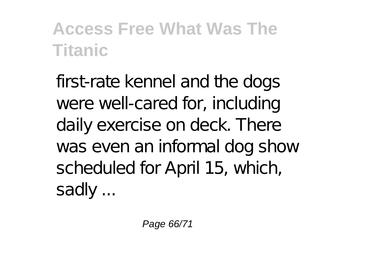first-rate kennel and the dogs were well-cared for, including daily exercise on deck. There was even an informal dog show scheduled for April 15, which, sadly ...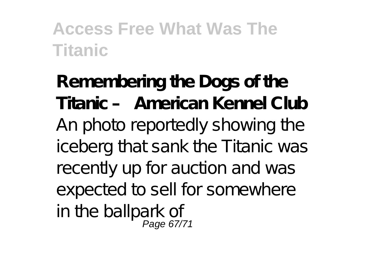**Remembering the Dogs of the Titanic – American Kennel Club** An photo reportedly showing the iceberg that sank the Titanic was recently up for auction and was expected to sell for somewhere in the ballpark of<br>egge 67/71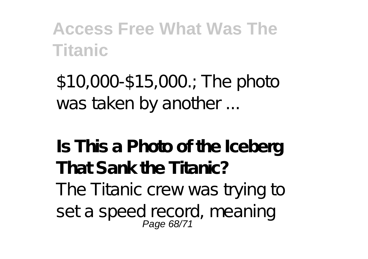\$10,000-\$15,000.; The photo was taken by another ...

**Is This a Photo of the Iceberg That Sank the Titanic?** The Titanic crew was trying to seta speed record, meaning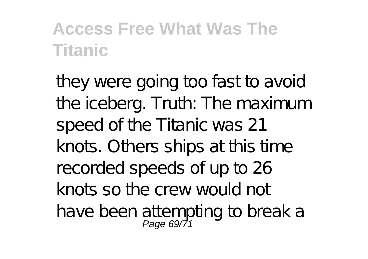they were going too fast to avoid the iceberg. Truth: The maximum speed of the Titanic was 21 knots. Others ships at this time recorded speeds of up to 26 knots so the crew would not have been attempting to break a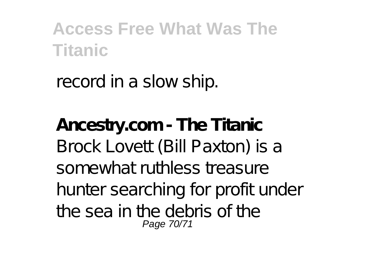record in a slow ship.

**Ancestry.com - The Titanic** Brock Lovett (Bill Paxton) is a somewhat ruthless treasure hunter searching for profit under the sea in the debris of the Page 70/71